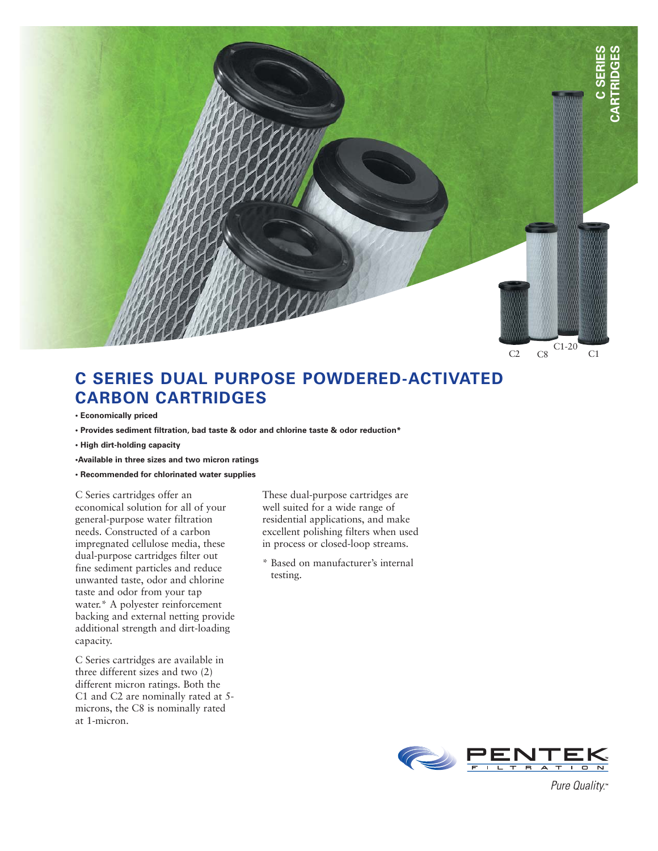

## **C SERIES DUAL PURPOSE POWDERED-ACTIVATED CARBON CARTRIDGES**

- **Economically priced**
- **Provides sediment filtration, bad taste & odor and chlorine taste & odor reduction\***
- **High dirt-holding capacity**
- **•Available in three sizes and two micron ratings**
- **Recommended for chlorinated water supplies**

C Series cartridges offer an economical solution for all of your general-purpose water filtration needs. Constructed of a carbon impregnated cellulose media, these dual-purpose cartridges filter out fine sediment particles and reduce unwanted taste, odor and chlorine taste and odor from your tap water.\* A polyester reinforcement backing and external netting provide additional strength and dirt-loading capacity.

C Series cartridges are available in three different sizes and two (2) different micron ratings. Both the C1 and C2 are nominally rated at 5 microns, the C8 is nominally rated at 1-micron.

These dual-purpose cartridges are well suited for a wide range of residential applications, and make excellent polishing filters when used in process or closed-loop streams.

\* Based on manufacturer's internal testing.



Pure Quality.™